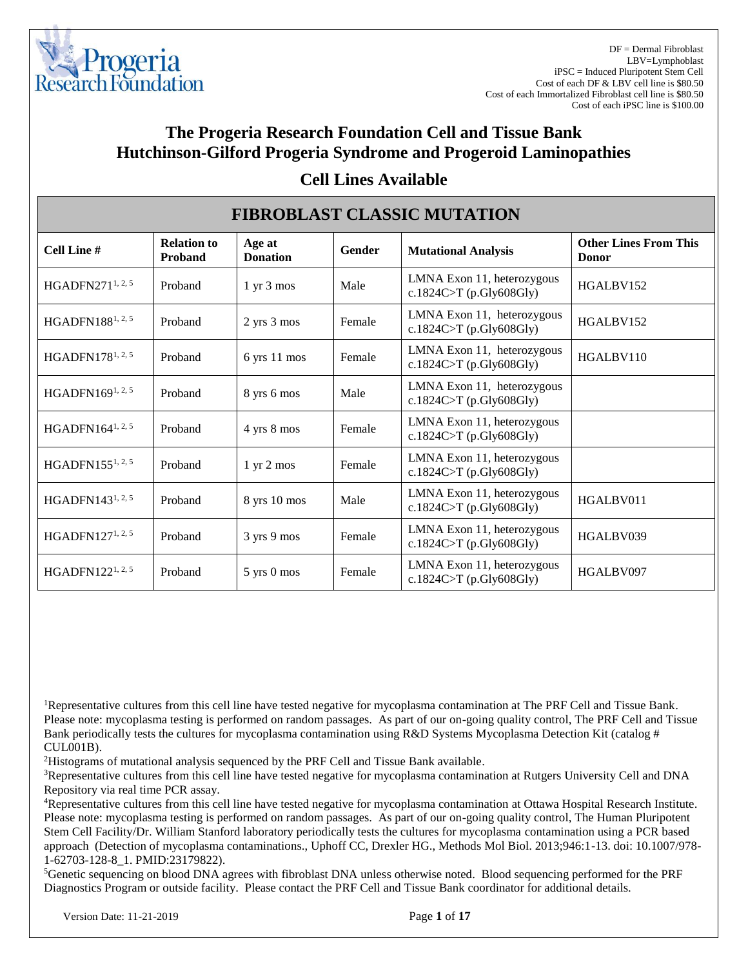

DF = Dermal Fibroblast LBV=Lymphoblast iPSC = Induced Pluripotent Stem Cell Cost of each DF & LBV cell line is \$80.50 Cost of each Immortalized Fibroblast cell line is \$80.50 Cost of each iPSC line is \$100.00

## **The Progeria Research Foundation Cell and Tissue Bank Hutchinson-Gilford Progeria Syndrome and Progeroid Laminopathies**

| <b>FIBROBLAST CLASSIC MUTATION</b> |                                      |                               |               |                                                       |                                              |  |  |
|------------------------------------|--------------------------------------|-------------------------------|---------------|-------------------------------------------------------|----------------------------------------------|--|--|
| Cell Line #                        | <b>Relation to</b><br><b>Proband</b> | Age at<br><b>Donation</b>     | <b>Gender</b> | <b>Mutational Analysis</b>                            | <b>Other Lines From This</b><br><b>Donor</b> |  |  |
| HGADFN271 <sup>1, 2, 5</sup>       | Proband                              | $1 \text{ yr } 3 \text{ mos}$ | Male          | LMNA Exon 11, heterozygous<br>c.1824C>T (p.Gly608Gly) | HGALBV152                                    |  |  |
| HGADFN188 <sup>1, 2, 5</sup>       | Proband                              | 2 yrs 3 mos                   | Female        | LMNA Exon 11, heterozygous<br>c.1824C>T (p.Gly608Gly) | HGALBV152                                    |  |  |
| HGADFN178 <sup>1, 2, 5</sup>       | Proband                              | 6 yrs 11 mos                  | Female        | LMNA Exon 11, heterozygous<br>c.1824C>T (p.Gly608Gly) | HGALBV110                                    |  |  |
| HGADFN169 <sup>1, 2, 5</sup>       | Proband                              | 8 yrs 6 mos                   | Male          | LMNA Exon 11, heterozygous<br>c.1824C>T (p.Gly608Gly) |                                              |  |  |
| HGADFN164 <sup>1, 2, 5</sup>       | Proband                              | 4 yrs 8 mos                   | Female        | LMNA Exon 11, heterozygous<br>c.1824C>T (p.Gly608Gly) |                                              |  |  |
| HGADFN155 <sup>1, 2, 5</sup>       | Proband                              | $1 \text{ yr } 2 \text{ mos}$ | Female        | LMNA Exon 11, heterozygous<br>c.1824C>T (p.Gly608Gly) |                                              |  |  |
| HGADFN143 <sup>1, 2, 5</sup>       | Proband                              | 8 yrs 10 mos                  | Male          | LMNA Exon 11, heterozygous<br>c.1824C>T (p.Gly608Gly) | HGALBV011                                    |  |  |
| HGADFN127 <sup>1, 2, 5</sup>       | Proband                              | 3 yrs 9 mos                   | Female        | LMNA Exon 11, heterozygous<br>c.1824C>T (p.Gly608Gly) | HGALBV039                                    |  |  |
| HGADFN $122^{1, 2, 5}$             | Proband                              | 5 yrs 0 mos                   | Female        | LMNA Exon 11, heterozygous<br>c.1824C>T (p.Gly608Gly) | HGALBV097                                    |  |  |

#### **Cell Lines Available**

<sup>1</sup>Representative cultures from this cell line have tested negative for mycoplasma contamination at The PRF Cell and Tissue Bank. Please note: mycoplasma testing is performed on random passages. As part of our on-going quality control, The PRF Cell and Tissue Bank periodically tests the cultures for mycoplasma contamination using R&D Systems Mycoplasma Detection Kit (catalog # CUL001B).

<sup>2</sup>Histograms of mutational analysis sequenced by the PRF Cell and Tissue Bank available.

<sup>3</sup>Representative cultures from this cell line have tested negative for mycoplasma contamination at Rutgers University Cell and DNA Repository via real time PCR assay.

<sup>4</sup>Representative cultures from this cell line have tested negative for mycoplasma contamination at Ottawa Hospital Research Institute. Please note: mycoplasma testing is performed on random passages. As part of our on-going quality control, The Human Pluripotent Stem Cell Facility/Dr. William Stanford laboratory periodically tests the cultures for mycoplasma contamination using a PCR based approach (Detection of mycoplasma contaminations., Uphoff CC, Drexler HG., Methods Mol Biol. 2013;946:1-13. doi: 10.1007/978- 1-62703-128-8\_1. PMID:23179822).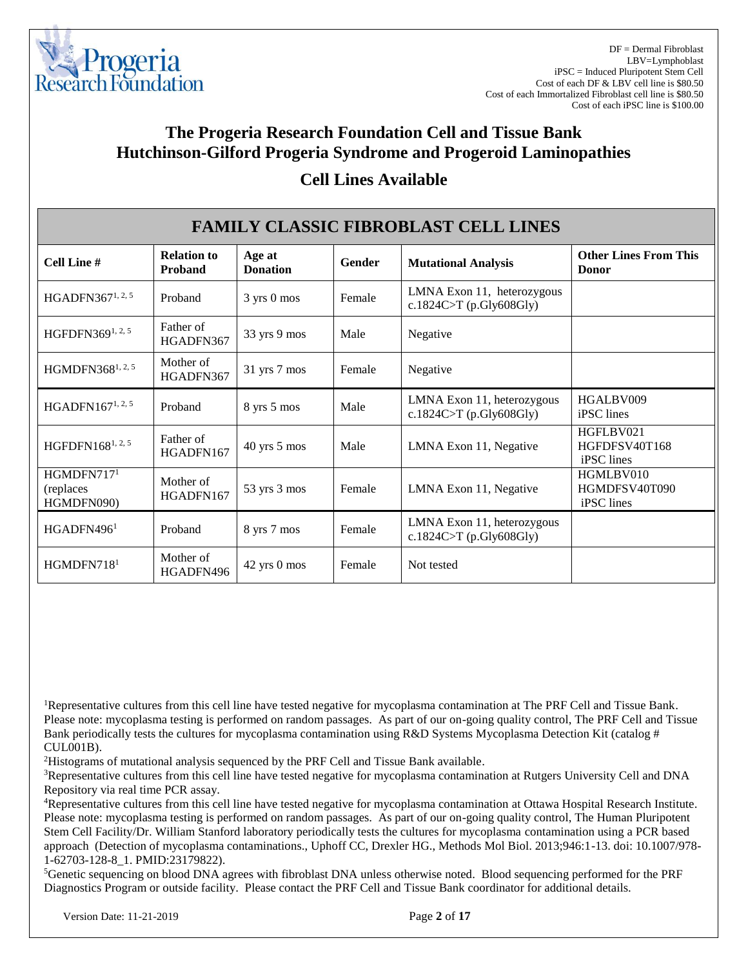

### **Cell Lines Available**

| <b>FAMILY CLASSIC FIBROBLAST CELL LINES</b>        |                               |                           |        |                                                       |                                          |  |  |
|----------------------------------------------------|-------------------------------|---------------------------|--------|-------------------------------------------------------|------------------------------------------|--|--|
| Cell Line #                                        | <b>Relation to</b><br>Proband | Age at<br><b>Donation</b> | Gender | <b>Mutational Analysis</b>                            | <b>Other Lines From This</b><br>Donor    |  |  |
| HGADFN367 <sup>1, 2, 5</sup>                       | Proband                       | 3 yrs 0 mos               | Female | LMNA Exon 11, heterozygous<br>c.1824C>T (p.Gly608Gly) |                                          |  |  |
| HGFDFN3691, 2, 5                                   | Father of<br>HGADFN367        | 33 yrs 9 mos              | Male   | Negative                                              |                                          |  |  |
| HGMDFN368 <sup>1, 2, 5</sup>                       | Mother of<br>HGADFN367        | $31$ yrs $7$ mos          | Female | Negative                                              |                                          |  |  |
| HGADFN $167^{1, 2, 5}$                             | Proband                       | 8 yrs 5 mos               | Male   | LMNA Exon 11, heterozygous<br>c.1824C>T (p.Gly608Gly) | HGALBV009<br>iPSC lines                  |  |  |
| HGFDFN1681, 2, 5                                   | Father of<br>HGADFN167        | $40$ yrs $5$ mos          | Male   | LMNA Exon 11, Negative                                | HGFLBV021<br>HGFDFSV40T168<br>iPSC lines |  |  |
| HGMDFN717 <sup>1</sup><br>(replaces)<br>HGMDFN090) | Mother of<br>HGADFN167        | 53 yrs 3 mos              | Female | LMNA Exon 11, Negative                                | HGMLBV010<br>HGMDFSV40T090<br>iPSC lines |  |  |
| HGADFN496 <sup>1</sup>                             | Proband                       | 8 yrs 7 mos               | Female | LMNA Exon 11, heterozygous<br>c.1824C>T (p.Gly608Gly) |                                          |  |  |
| HGMDFN718 <sup>1</sup>                             | Mother of<br>HGADFN496        | 42 yrs 0 mos              | Female | Not tested                                            |                                          |  |  |

<sup>1</sup>Representative cultures from this cell line have tested negative for mycoplasma contamination at The PRF Cell and Tissue Bank. Please note: mycoplasma testing is performed on random passages. As part of our on-going quality control, The PRF Cell and Tissue Bank periodically tests the cultures for mycoplasma contamination using R&D Systems Mycoplasma Detection Kit (catalog # CUL001B).

<sup>2</sup>Histograms of mutational analysis sequenced by the PRF Cell and Tissue Bank available.

<sup>3</sup>Representative cultures from this cell line have tested negative for mycoplasma contamination at Rutgers University Cell and DNA Repository via real time PCR assay.

<sup>4</sup>Representative cultures from this cell line have tested negative for mycoplasma contamination at Ottawa Hospital Research Institute. Please note: mycoplasma testing is performed on random passages. As part of our on-going quality control, The Human Pluripotent Stem Cell Facility/Dr. William Stanford laboratory periodically tests the cultures for mycoplasma contamination using a PCR based approach (Detection of mycoplasma contaminations., Uphoff CC, Drexler HG., Methods Mol Biol. 2013;946:1-13. doi: 10.1007/978- 1-62703-128-8\_1. PMID:23179822).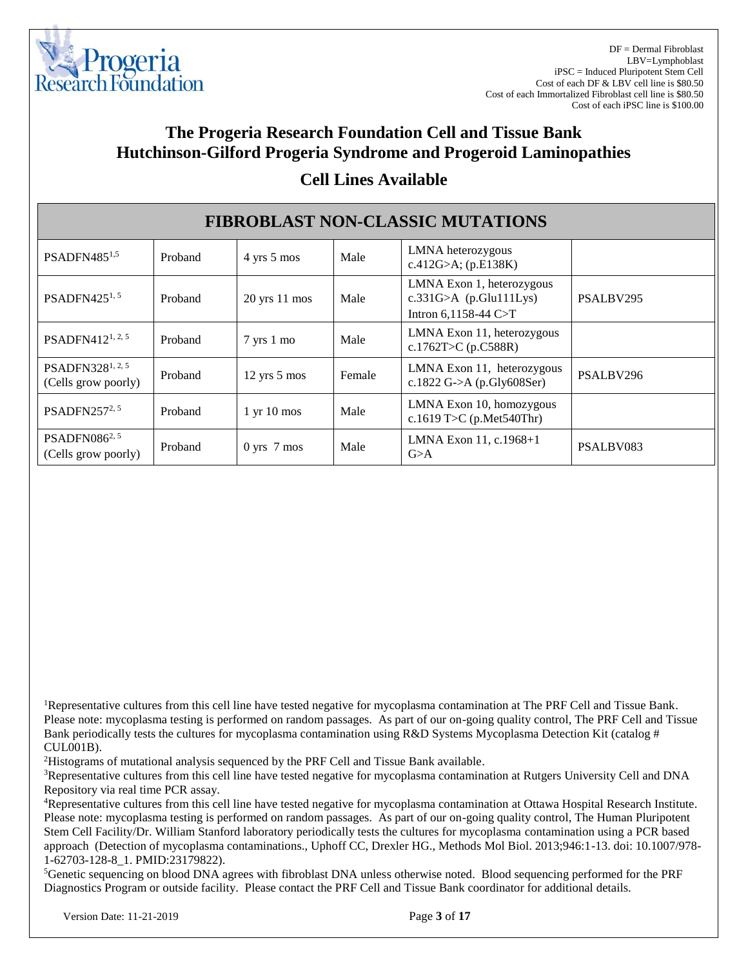

#### **Cell Lines Available**

| <b>FIBROBLAST NON-CLASSIC MUTATIONS</b>             |         |                                 |        |                                                                                 |           |  |  |
|-----------------------------------------------------|---------|---------------------------------|--------|---------------------------------------------------------------------------------|-----------|--|--|
| PSADFN485 <sup>1,5</sup>                            | Proband | 4 yrs 5 mos                     | Male   | LMNA heterozygous<br>c.412G>A; $(p.E138K)$                                      |           |  |  |
| PSADFN425 <sup>1, 5</sup>                           | Proband | $20$ yrs 11 mos                 | Male   | LMNA Exon 1, heterozygous<br>$c.331G>A$ (p.Glu111Lys)<br>Intron $6,1158-44$ C>T | PSALBV295 |  |  |
| PSADFN412 <sup>1, 2, 5</sup>                        | Proband | $7 \text{ yrs } 1 \text{ mo}$   | Male   | LMNA Exon 11, heterozygous<br>c.1762T>C (p.C588R)                               |           |  |  |
| PSADFN328 <sup>1, 2, 5</sup><br>(Cells grow poorly) | Proband | $12 \text{ yrs } 5 \text{ mos}$ | Female | LMNA Exon 11, heterozygous<br>c.1822 G->A (p.Gly608Ser)                         | PSALBV296 |  |  |
| PSADFN257 <sup>2, 5</sup>                           | Proband | $1 \text{ yr} 10 \text{ mos}$   | Male   | LMNA Exon 10, homozygous<br>c.1619 T>C (p.Met540Thr)                            |           |  |  |
| PSADFN086 <sup>2, 5</sup><br>(Cells grow poorly)    | Proband | $0 \text{ yrs}$ 7 mos           | Male   | LMNA Exon 11, c.1968+1<br>G>A                                                   | PSALBV083 |  |  |

<sup>1</sup>Representative cultures from this cell line have tested negative for mycoplasma contamination at The PRF Cell and Tissue Bank. Please note: mycoplasma testing is performed on random passages. As part of our on-going quality control, The PRF Cell and Tissue Bank periodically tests the cultures for mycoplasma contamination using R&D Systems Mycoplasma Detection Kit (catalog # CUL001B).

<sup>2</sup>Histograms of mutational analysis sequenced by the PRF Cell and Tissue Bank available.

<sup>3</sup>Representative cultures from this cell line have tested negative for mycoplasma contamination at Rutgers University Cell and DNA Repository via real time PCR assay.

<sup>4</sup>Representative cultures from this cell line have tested negative for mycoplasma contamination at Ottawa Hospital Research Institute. Please note: mycoplasma testing is performed on random passages. As part of our on-going quality control, The Human Pluripotent Stem Cell Facility/Dr. William Stanford laboratory periodically tests the cultures for mycoplasma contamination using a PCR based approach (Detection of mycoplasma contaminations., Uphoff CC, Drexler HG., Methods Mol Biol. 2013;946:1-13. doi: 10.1007/978- 1-62703-128-8\_1. PMID:23179822).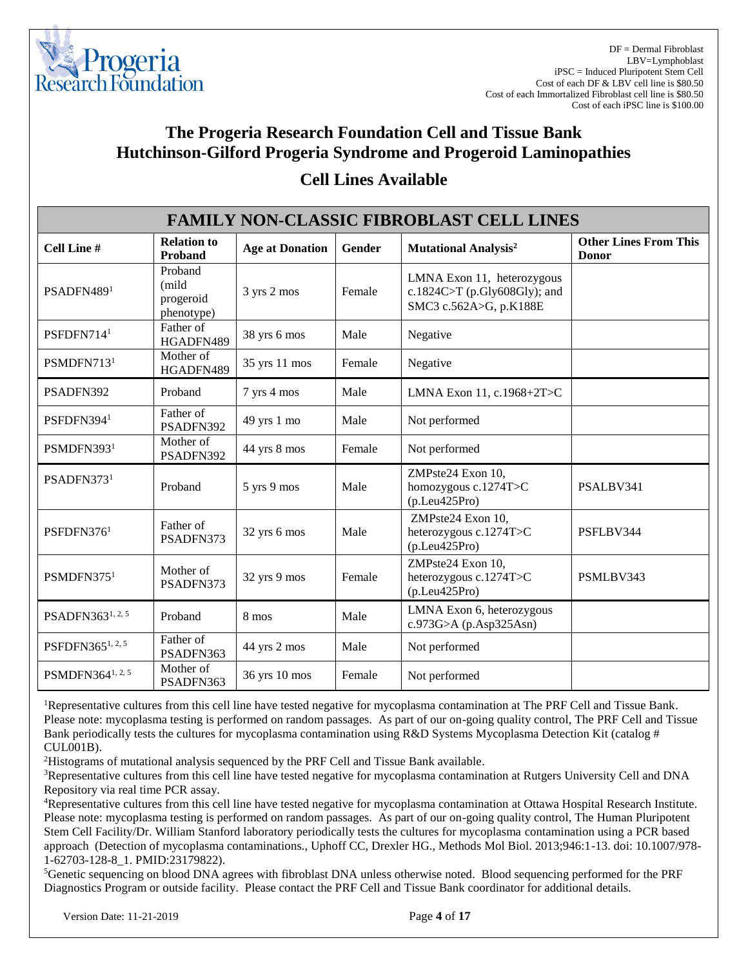

| <b>FAMILY NON-CLASSIC FIBROBLAST CELL LINES</b> |                                             |                        |        |                                                                                      |                                              |  |  |
|-------------------------------------------------|---------------------------------------------|------------------------|--------|--------------------------------------------------------------------------------------|----------------------------------------------|--|--|
| Cell Line #                                     | <b>Relation to</b><br>Proband               | <b>Age at Donation</b> | Gender | <b>Mutational Analysis<sup>2</sup></b>                                               | <b>Other Lines From This</b><br><b>Donor</b> |  |  |
| PSADFN4891                                      | Proband<br>(mild<br>progeroid<br>phenotype) | 3 yrs 2 mos            | Female | LMNA Exon 11, heterozygous<br>c.1824C>T (p.Gly608Gly); and<br>SMC3 c.562A>G, p.K188E |                                              |  |  |
| PSFDFN714 <sup>1</sup>                          | Father of<br>HGADFN489                      | 38 yrs 6 mos           | Male   | Negative                                                                             |                                              |  |  |
| PSMDFN713 <sup>1</sup>                          | Mother of<br>HGADFN489                      | 35 yrs 11 mos          | Female | Negative                                                                             |                                              |  |  |
| PSADFN392                                       | Proband                                     | 7 yrs 4 mos            | Male   | LMNA Exon 11, c.1968+2T>C                                                            |                                              |  |  |
| PSFDFN394 <sup>1</sup>                          | Father of<br>PSADFN392                      | 49 yrs 1 mo            | Male   | Not performed                                                                        |                                              |  |  |
| PSMDFN3931                                      | Mother of<br>PSADFN392                      | 44 yrs 8 mos           | Female | Not performed                                                                        |                                              |  |  |
| PSADFN3731                                      | Proband                                     | 5 yrs 9 mos            | Male   | ZMPste24 Exon 10,<br>homozygous c.1274T>C<br>(p. Leu425Pro)                          | PSALBV341                                    |  |  |
| PSFDFN376 <sup>1</sup>                          | Father of<br>PSADFN373                      | 32 yrs 6 mos           | Male   | ZMPste24 Exon 10,<br>heterozygous c.1274T>C<br>(p. Leu425Pro)                        | PSFLBV344                                    |  |  |
| PSMDFN375 <sup>1</sup>                          | Mother of<br>PSADFN373                      | 32 yrs 9 mos           | Female | ZMPste24 Exon 10,<br>heterozygous c.1274T>C<br>(p. Leu425Pro)                        | PSMLBV343                                    |  |  |
| PSADFN3631, 2, 5                                | Proband                                     | 8 mos                  | Male   | LMNA Exon 6, heterozygous<br>c.973G>A (p.Asp325Asn)                                  |                                              |  |  |
| PSFDFN3651, 2, 5                                | Father of<br>PSADFN363                      | 44 yrs 2 mos           | Male   | Not performed                                                                        |                                              |  |  |
| PSMDFN364 <sup>1, 2, 5</sup>                    | Mother of<br>PSADFN363                      | 36 yrs 10 mos          | Female | Not performed                                                                        |                                              |  |  |

### **Cell Lines Available**

<sup>1</sup>Representative cultures from this cell line have tested negative for mycoplasma contamination at The PRF Cell and Tissue Bank. Please note: mycoplasma testing is performed on random passages. As part of our on-going quality control, The PRF Cell and Tissue Bank periodically tests the cultures for mycoplasma contamination using R&D Systems Mycoplasma Detection Kit (catalog # CUL001B).

<sup>2</sup>Histograms of mutational analysis sequenced by the PRF Cell and Tissue Bank available.

<sup>3</sup>Representative cultures from this cell line have tested negative for mycoplasma contamination at Rutgers University Cell and DNA Repository via real time PCR assay.

<sup>4</sup>Representative cultures from this cell line have tested negative for mycoplasma contamination at Ottawa Hospital Research Institute. Please note: mycoplasma testing is performed on random passages. As part of our on-going quality control, The Human Pluripotent Stem Cell Facility/Dr. William Stanford laboratory periodically tests the cultures for mycoplasma contamination using a PCR based approach (Detection of mycoplasma contaminations., Uphoff CC, Drexler HG., Methods Mol Biol. 2013;946:1-13. doi: 10.1007/978- 1-62703-128-8\_1. PMID:23179822).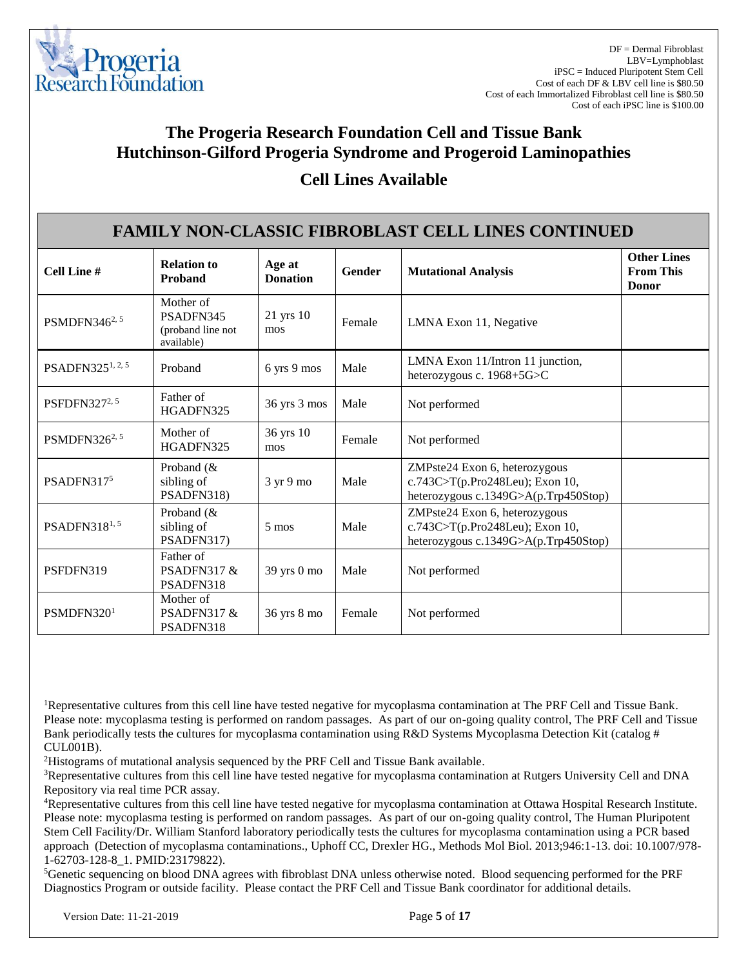

| <b>Cell Lines Available</b> |
|-----------------------------|
|                             |

| <b>FAMILY NON-CLASSIC FIBROBLAST CELL LINES CONTINUED</b> |                                                           |                           |        |                                                                                                          |                                                        |  |
|-----------------------------------------------------------|-----------------------------------------------------------|---------------------------|--------|----------------------------------------------------------------------------------------------------------|--------------------------------------------------------|--|
| <b>Cell Line #</b>                                        | <b>Relation to</b><br>Proband                             | Age at<br><b>Donation</b> | Gender | <b>Mutational Analysis</b>                                                                               | <b>Other Lines</b><br><b>From This</b><br><b>Donor</b> |  |
| PSMDFN346 <sup>2, 5</sup>                                 | Mother of<br>PSADFN345<br>(proband line not<br>available) | 21 yrs 10<br>mos          | Female | LMNA Exon 11, Negative                                                                                   |                                                        |  |
| PSADFN325 <sup>1, 2, 5</sup>                              | Proband                                                   | 6 yrs 9 mos               | Male   | LMNA Exon 11/Intron 11 junction,<br>heterozygous c. 1968+5G>C                                            |                                                        |  |
| PSFDFN327 <sup>2, 5</sup>                                 | Father of<br>HGADFN325                                    | 36 yrs 3 mos              | Male   | Not performed                                                                                            |                                                        |  |
| PSMDFN326 <sup>2, 5</sup>                                 | Mother of<br>HGADFN325                                    | 36 yrs 10<br>mos          | Female | Not performed                                                                                            |                                                        |  |
| PSADFN3175                                                | Proband $(\&$<br>sibling of<br>PSADFN318)                 | 3 yr 9 mo                 | Male   | ZMPste24 Exon 6, heterozygous<br>c.743C>T(p.Pro248Leu); Exon 10,<br>heterozygous c.1349G>A(p.Trp450Stop) |                                                        |  |
| PSADFN318 <sup>1, 5</sup>                                 | Proband $(\&$<br>sibling of<br>PSADFN317)                 | 5 mos                     | Male   | ZMPste24 Exon 6, heterozygous<br>c.743C>T(p.Pro248Leu); Exon 10,<br>heterozygous c.1349G>A(p.Trp450Stop) |                                                        |  |
| PSFDFN319                                                 | Father of<br>PSADFN317&<br>PSADFN318                      | 39 yrs 0 mo               | Male   | Not performed                                                                                            |                                                        |  |
| PSMDFN320 <sup>1</sup>                                    | Mother of<br>PSADFN317&<br>PSADFN318                      | 36 yrs 8 mo               | Female | Not performed                                                                                            |                                                        |  |

<sup>1</sup>Representative cultures from this cell line have tested negative for mycoplasma contamination at The PRF Cell and Tissue Bank. Please note: mycoplasma testing is performed on random passages. As part of our on-going quality control, The PRF Cell and Tissue Bank periodically tests the cultures for mycoplasma contamination using R&D Systems Mycoplasma Detection Kit (catalog # CUL001B).

<sup>2</sup>Histograms of mutational analysis sequenced by the PRF Cell and Tissue Bank available.

<sup>3</sup>Representative cultures from this cell line have tested negative for mycoplasma contamination at Rutgers University Cell and DNA Repository via real time PCR assay.

<sup>4</sup>Representative cultures from this cell line have tested negative for mycoplasma contamination at Ottawa Hospital Research Institute. Please note: mycoplasma testing is performed on random passages. As part of our on-going quality control, The Human Pluripotent Stem Cell Facility/Dr. William Stanford laboratory periodically tests the cultures for mycoplasma contamination using a PCR based approach (Detection of mycoplasma contaminations., Uphoff CC, Drexler HG., Methods Mol Biol. 2013;946:1-13. doi: 10.1007/978- 1-62703-128-8\_1. PMID:23179822).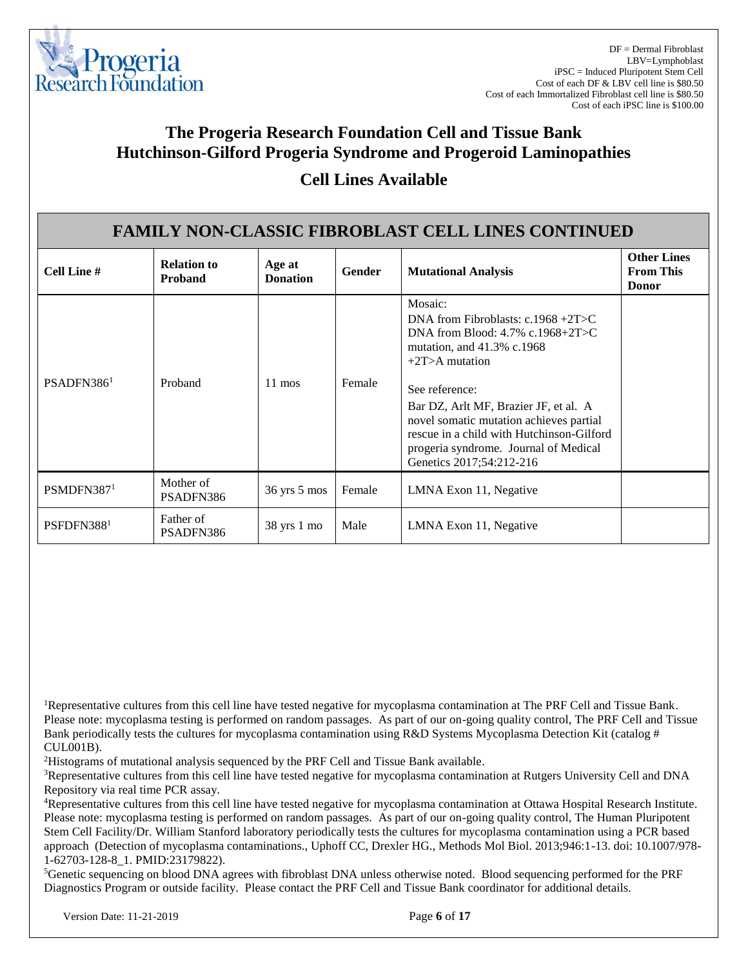

### **Cell Lines Available**

| <b>FAMILY NON-CLASSIC FIBROBLAST CELL LINES CONTINUED</b> |                                      |                                |        |                                                                                                                                                                                                                                                                                                                                                                      |                                                        |  |  |
|-----------------------------------------------------------|--------------------------------------|--------------------------------|--------|----------------------------------------------------------------------------------------------------------------------------------------------------------------------------------------------------------------------------------------------------------------------------------------------------------------------------------------------------------------------|--------------------------------------------------------|--|--|
| Cell Line #                                               | <b>Relation to</b><br><b>Proband</b> | Age at<br><b>Donation</b>      | Gender | <b>Mutational Analysis</b>                                                                                                                                                                                                                                                                                                                                           | <b>Other Lines</b><br><b>From This</b><br><b>Donor</b> |  |  |
| PSADFN386 <sup>1</sup>                                    | Proband                              | $11 \text{ mos}$               | Female | Mosaic:<br>DNA from Fibroblasts: $c.1968 + 2T > C$<br>DNA from Blood: $4.7\%$ c.1968+2T>C<br>mutation, and 41.3% c.1968<br>$+2T$ >A mutation<br>See reference:<br>Bar DZ, Arlt MF, Brazier JF, et al. A<br>novel somatic mutation achieves partial<br>rescue in a child with Hutchinson-Gilford<br>progeria syndrome. Journal of Medical<br>Genetics 2017;54:212-216 |                                                        |  |  |
| PSMDFN387 <sup>1</sup>                                    | Mother of<br>PSADFN386               | $36 \text{ yrs} 5 \text{ mos}$ | Female | LMNA Exon 11, Negative                                                                                                                                                                                                                                                                                                                                               |                                                        |  |  |
| PSFDFN3881                                                | Father of<br>PSADFN386               | 38 yrs 1 mo                    | Male   | LMNA Exon 11, Negative                                                                                                                                                                                                                                                                                                                                               |                                                        |  |  |

<sup>1</sup>Representative cultures from this cell line have tested negative for mycoplasma contamination at The PRF Cell and Tissue Bank. Please note: mycoplasma testing is performed on random passages. As part of our on-going quality control, The PRF Cell and Tissue Bank periodically tests the cultures for mycoplasma contamination using R&D Systems Mycoplasma Detection Kit (catalog # CUL001B).

<sup>2</sup>Histograms of mutational analysis sequenced by the PRF Cell and Tissue Bank available.

<sup>3</sup>Representative cultures from this cell line have tested negative for mycoplasma contamination at Rutgers University Cell and DNA Repository via real time PCR assay.

<sup>4</sup>Representative cultures from this cell line have tested negative for mycoplasma contamination at Ottawa Hospital Research Institute. Please note: mycoplasma testing is performed on random passages. As part of our on-going quality control, The Human Pluripotent Stem Cell Facility/Dr. William Stanford laboratory periodically tests the cultures for mycoplasma contamination using a PCR based approach (Detection of mycoplasma contaminations., Uphoff CC, Drexler HG., Methods Mol Biol. 2013;946:1-13. doi: 10.1007/978- 1-62703-128-8\_1. PMID:23179822).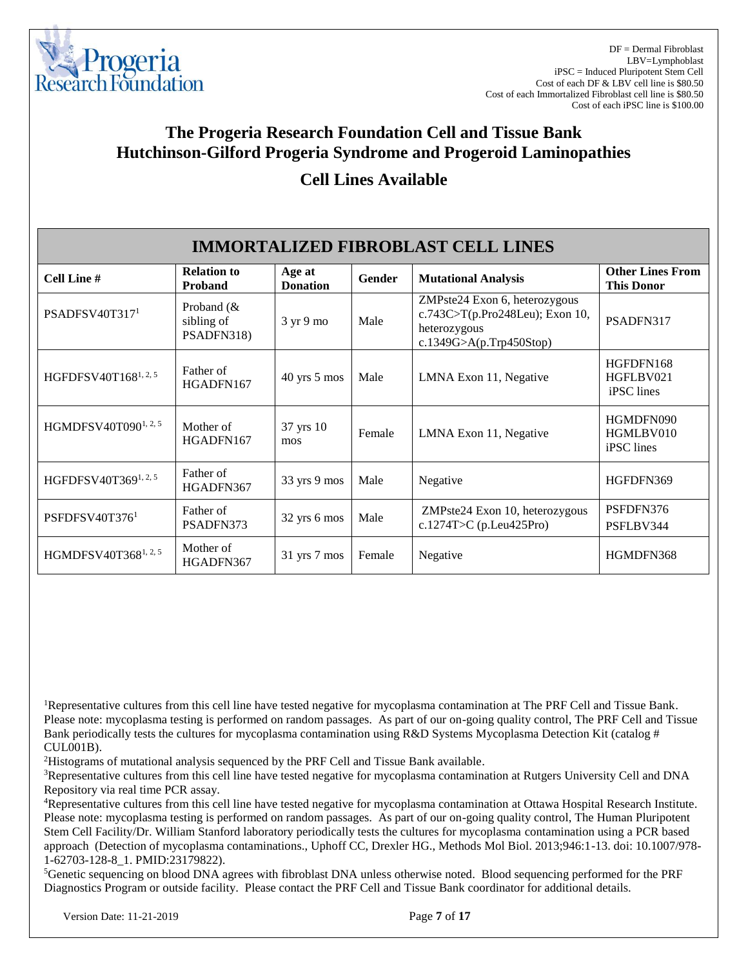

#### **Cell Lines Available**

| <b>IMMORTALIZED FIBROBLAST CELL LINES</b> |                                           |                             |        |                                                                                                             |                                              |  |  |
|-------------------------------------------|-------------------------------------------|-----------------------------|--------|-------------------------------------------------------------------------------------------------------------|----------------------------------------------|--|--|
| Cell Line #                               | <b>Relation to</b><br>Proband             | Age at<br><b>Donation</b>   | Gender | <b>Mutational Analysis</b>                                                                                  | <b>Other Lines From</b><br><b>This Donor</b> |  |  |
| PSADFSV40T317 <sup>1</sup>                | Proband $(\&$<br>sibling of<br>PSADFN318) | $3 \text{ yr} 9 \text{ mo}$ | Male   | ZMPste24 Exon 6, heterozygous<br>c.743C>T(p.Pro248Leu); Exon 10,<br>heterozygous<br>c.1349G>A(p.Trp450Stop) | PSADFN317                                    |  |  |
| HGFDFSV40T1681, 2, 5                      | Father of<br>HGADFN167                    | $40$ yrs $5$ mos            | Male   | LMNA Exon 11, Negative                                                                                      | HGFDFN168<br>HGFLBV021<br>iPSC lines         |  |  |
| HGMDFSV40T090 <sup>1, 2, 5</sup>          | Mother of<br>HGADFN167                    | 37 yrs 10<br>mos            | Female | LMNA Exon 11, Negative                                                                                      | HGMDFN090<br>HGMLBV010<br>iPSC lines         |  |  |
| HGFDFSV40T3691, 2, 5                      | Father of<br>HGADFN367                    | 33 yrs 9 mos                | Male   | Negative                                                                                                    | HGFDFN369                                    |  |  |
| PSFDFSV40T376 <sup>1</sup>                | Father of<br>PSADFN373                    | 32 yrs 6 mos                | Male   | ZMPste24 Exon 10, heterozygous<br>c.1274T>C (p.Leu425Pro)                                                   | PSFDFN376<br>PSFLBV344                       |  |  |
| HGMDFSV40T3681, 2, 5                      | Mother of<br>HGADFN367                    | $31$ yrs $7$ mos            | Female | Negative                                                                                                    | HGMDFN368                                    |  |  |

<sup>1</sup>Representative cultures from this cell line have tested negative for mycoplasma contamination at The PRF Cell and Tissue Bank. Please note: mycoplasma testing is performed on random passages. As part of our on-going quality control, The PRF Cell and Tissue Bank periodically tests the cultures for mycoplasma contamination using R&D Systems Mycoplasma Detection Kit (catalog # CUL001B).

<sup>2</sup>Histograms of mutational analysis sequenced by the PRF Cell and Tissue Bank available.

<sup>3</sup>Representative cultures from this cell line have tested negative for mycoplasma contamination at Rutgers University Cell and DNA Repository via real time PCR assay.

<sup>4</sup>Representative cultures from this cell line have tested negative for mycoplasma contamination at Ottawa Hospital Research Institute. Please note: mycoplasma testing is performed on random passages. As part of our on-going quality control, The Human Pluripotent Stem Cell Facility/Dr. William Stanford laboratory periodically tests the cultures for mycoplasma contamination using a PCR based approach (Detection of mycoplasma contaminations., Uphoff CC, Drexler HG., Methods Mol Biol. 2013;946:1-13. doi: 10.1007/978- 1-62703-128-8\_1. PMID:23179822).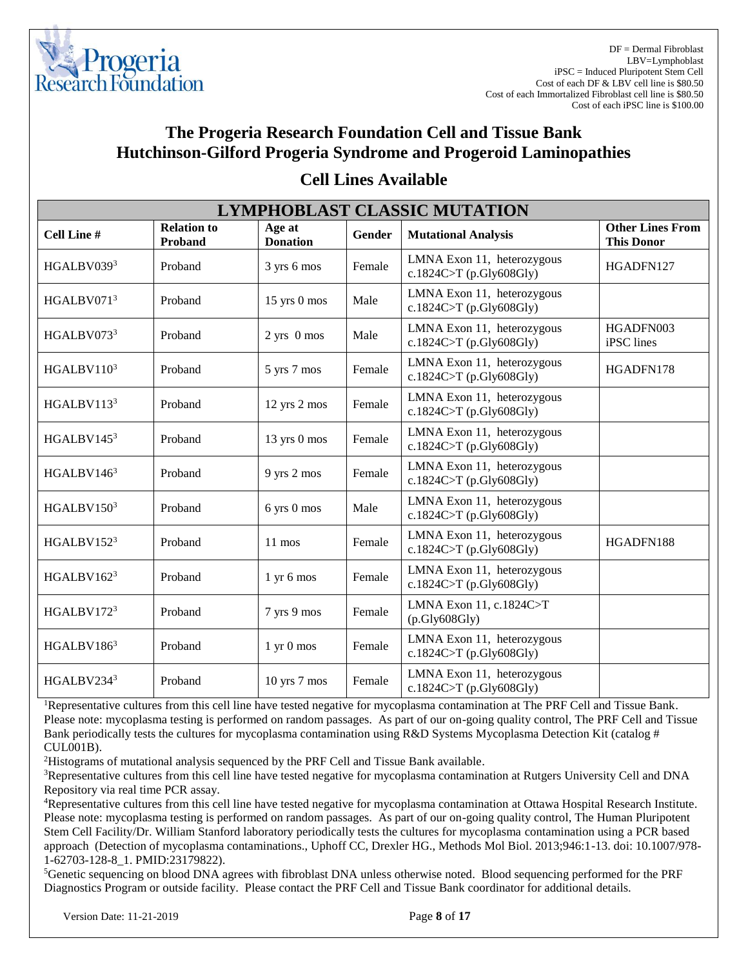

DF = Dermal Fibroblast LBV=Lymphoblast iPSC = Induced Pluripotent Stem Cell Cost of each DF & LBV cell line is \$80.50 Cost of each Immortalized Fibroblast cell line is \$80.50 Cost of each iPSC line is \$100.00

### **The Progeria Research Foundation Cell and Tissue Bank Hutchinson-Gilford Progeria Syndrome and Progeroid Laminopathies**

| <b>LYMPHOBLAST CLASSIC MUTATION</b> |                               |                              |        |                                                       |                                              |  |  |
|-------------------------------------|-------------------------------|------------------------------|--------|-------------------------------------------------------|----------------------------------------------|--|--|
| <b>Cell Line#</b>                   | <b>Relation to</b><br>Proband | Age at<br><b>Donation</b>    | Gender | <b>Mutational Analysis</b>                            | <b>Other Lines From</b><br><b>This Donor</b> |  |  |
| HGALBV0393                          | Proband                       | 3 yrs 6 mos                  | Female | LMNA Exon 11, heterozygous<br>c.1824C>T (p.Gly608Gly) | HGADFN127                                    |  |  |
| HGALBV0713                          | Proband                       | 15 yrs 0 mos                 | Male   | LMNA Exon 11, heterozygous<br>c.1824C>T (p.Gly608Gly) |                                              |  |  |
| HGALBV0733                          | Proband                       | $2$ yrs $0$ mos              | Male   | LMNA Exon 11, heterozygous<br>c.1824C>T (p.Gly608Gly) | HGADFN003<br>iPSC lines                      |  |  |
| HGALBV1103                          | Proband                       | 5 yrs 7 mos                  | Female | LMNA Exon 11, heterozygous<br>c.1824C>T (p.Gly608Gly) | HGADFN178                                    |  |  |
| HGALBV1133                          | Proband                       | 12 yrs 2 mos                 | Female | LMNA Exon 11, heterozygous<br>c.1824C>T (p.Gly608Gly) |                                              |  |  |
| HGALBV145 $3$                       | Proband                       | 13 yrs 0 mos                 | Female | LMNA Exon 11, heterozygous<br>c.1824C>T (p.Gly608Gly) |                                              |  |  |
| HGALBV146 <sup>3</sup>              | Proband                       | 9 yrs 2 mos                  | Female | LMNA Exon 11, heterozygous<br>c.1824C>T (p.Gly608Gly) |                                              |  |  |
| HGALBV1503                          | Proband                       | 6 yrs 0 mos                  | Male   | LMNA Exon 11, heterozygous<br>c.1824C>T (p.Gly608Gly) |                                              |  |  |
| HGALBV1523                          | Proband                       | $11 \text{ mos}$             | Female | LMNA Exon 11, heterozygous<br>c.1824C>T (p.Gly608Gly) | HGADFN188                                    |  |  |
| HGALBV1623                          | Proband                       | $1 \times 6 \text{ mos}$     | Female | LMNA Exon 11, heterozygous<br>c.1824C>T (p.Gly608Gly) |                                              |  |  |
| HGALBV1723                          | Proband                       | 7 yrs 9 mos                  | Female | LMNA Exon 11, c.1824C>T<br>(p.Gly608Gly)              |                                              |  |  |
| HGALBV186 <sup>3</sup>              | Proband                       | $1 \text{ yr} 0 \text{ mos}$ | Female | LMNA Exon 11, heterozygous<br>c.1824C>T (p.Gly608Gly) |                                              |  |  |
| HGALBV2343                          | Proband                       | $10$ yrs $7$ mos             | Female | LMNA Exon 11, heterozygous<br>c.1824C>T (p.Gly608Gly) |                                              |  |  |

#### **Cell Lines Available**

<sup>1</sup>Representative cultures from this cell line have tested negative for mycoplasma contamination at The PRF Cell and Tissue Bank. Please note: mycoplasma testing is performed on random passages. As part of our on-going quality control, The PRF Cell and Tissue Bank periodically tests the cultures for mycoplasma contamination using R&D Systems Mycoplasma Detection Kit (catalog # CUL001B).

<sup>2</sup>Histograms of mutational analysis sequenced by the PRF Cell and Tissue Bank available.

<sup>3</sup>Representative cultures from this cell line have tested negative for mycoplasma contamination at Rutgers University Cell and DNA Repository via real time PCR assay.

<sup>4</sup>Representative cultures from this cell line have tested negative for mycoplasma contamination at Ottawa Hospital Research Institute. Please note: mycoplasma testing is performed on random passages. As part of our on-going quality control, The Human Pluripotent Stem Cell Facility/Dr. William Stanford laboratory periodically tests the cultures for mycoplasma contamination using a PCR based approach (Detection of mycoplasma contaminations., Uphoff CC, Drexler HG., Methods Mol Biol. 2013;946:1-13. doi: 10.1007/978- 1-62703-128-8\_1. PMID:23179822).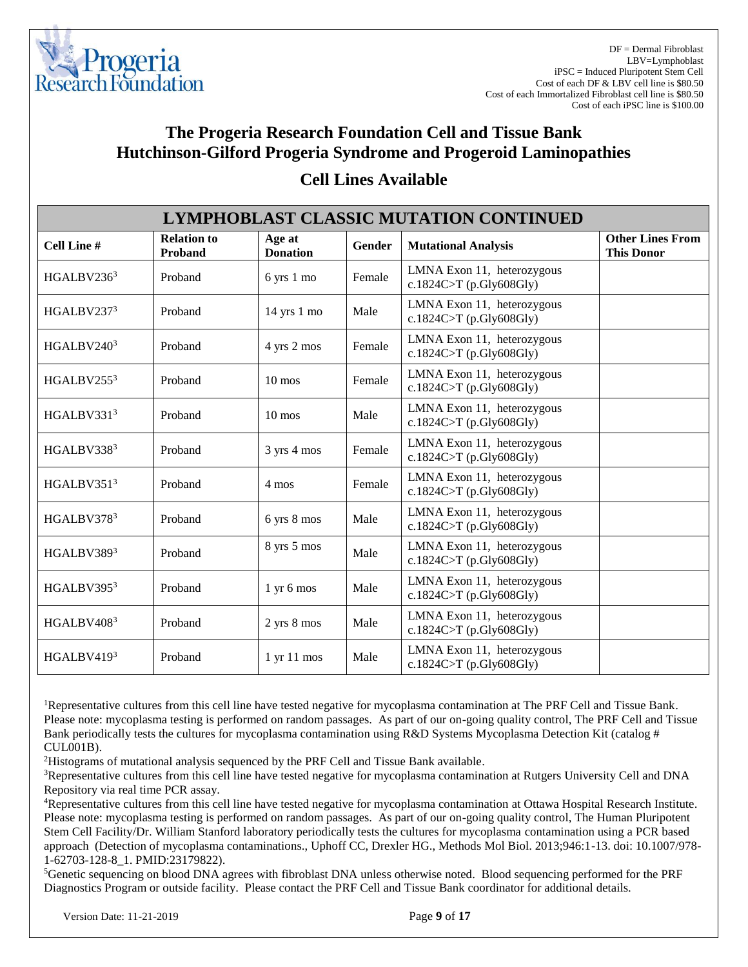

| <b>LYMPHOBLAST CLASSIC MUTATION CONTINUED</b> |                               |                               |        |                                                       |                                              |  |  |
|-----------------------------------------------|-------------------------------|-------------------------------|--------|-------------------------------------------------------|----------------------------------------------|--|--|
| <b>Cell Line #</b>                            | <b>Relation to</b><br>Proband | Age at<br><b>Donation</b>     | Gender | <b>Mutational Analysis</b>                            | <b>Other Lines From</b><br><b>This Donor</b> |  |  |
| HGALBV2363                                    | Proband                       | 6 yrs 1 mo                    | Female | LMNA Exon 11, heterozygous<br>c.1824C>T (p.Gly608Gly) |                                              |  |  |
| HGALBV237 <sup>3</sup>                        | Proband                       | $14$ yrs $1$ mo               | Male   | LMNA Exon 11, heterozygous<br>c.1824C>T (p.Gly608Gly) |                                              |  |  |
| HGALBV2403                                    | Proband                       | 4 yrs 2 mos                   | Female | LMNA Exon 11, heterozygous<br>c.1824C>T (p.Gly608Gly) |                                              |  |  |
| HGALBV2553                                    | Proband                       | $10 \text{ mos}$              | Female | LMNA Exon 11, heterozygous<br>c.1824C>T (p.Gly608Gly) |                                              |  |  |
| HGALBV3313                                    | Proband                       | $10 \text{ mos}$              | Male   | LMNA Exon 11, heterozygous<br>c.1824C>T (p.Gly608Gly) |                                              |  |  |
| HGALBV3383                                    | Proband                       | 3 yrs 4 mos                   | Female | LMNA Exon 11, heterozygous<br>c.1824C>T (p.Gly608Gly) |                                              |  |  |
| HGALBV3513                                    | Proband                       | 4 mos                         | Female | LMNA Exon 11, heterozygous<br>c.1824C>T (p.Gly608Gly) |                                              |  |  |
| HGALBV3783                                    | Proband                       | 6 yrs 8 mos                   | Male   | LMNA Exon 11, heterozygous<br>c.1824C>T (p.Gly608Gly) |                                              |  |  |
| HGALBV3893                                    | Proband                       | 8 yrs 5 mos                   | Male   | LMNA Exon 11, heterozygous<br>c.1824C>T (p.Gly608Gly) |                                              |  |  |
| HGALBV395 <sup>3</sup>                        | Proband                       | $1 \times 6 \text{ mos}$      | Male   | LMNA Exon 11, heterozygous<br>c.1824C>T (p.Gly608Gly) |                                              |  |  |
| HGALBV4083                                    | Proband                       | 2 yrs 8 mos                   | Male   | LMNA Exon 11, heterozygous<br>c.1824C>T (p.Gly608Gly) |                                              |  |  |
| HGALBV4193                                    | Proband                       | $1 \text{ yr} 11 \text{ mos}$ | Male   | LMNA Exon 11, heterozygous<br>c.1824C>T (p.Gly608Gly) |                                              |  |  |

#### **Cell Lines Available**

<sup>1</sup>Representative cultures from this cell line have tested negative for mycoplasma contamination at The PRF Cell and Tissue Bank. Please note: mycoplasma testing is performed on random passages. As part of our on-going quality control, The PRF Cell and Tissue Bank periodically tests the cultures for mycoplasma contamination using R&D Systems Mycoplasma Detection Kit (catalog # CUL001B).

<sup>2</sup>Histograms of mutational analysis sequenced by the PRF Cell and Tissue Bank available.

<sup>3</sup>Representative cultures from this cell line have tested negative for mycoplasma contamination at Rutgers University Cell and DNA Repository via real time PCR assay.

<sup>4</sup>Representative cultures from this cell line have tested negative for mycoplasma contamination at Ottawa Hospital Research Institute. Please note: mycoplasma testing is performed on random passages. As part of our on-going quality control, The Human Pluripotent Stem Cell Facility/Dr. William Stanford laboratory periodically tests the cultures for mycoplasma contamination using a PCR based approach (Detection of mycoplasma contaminations., Uphoff CC, Drexler HG., Methods Mol Biol. 2013;946:1-13. doi: 10.1007/978- 1-62703-128-8\_1. PMID:23179822).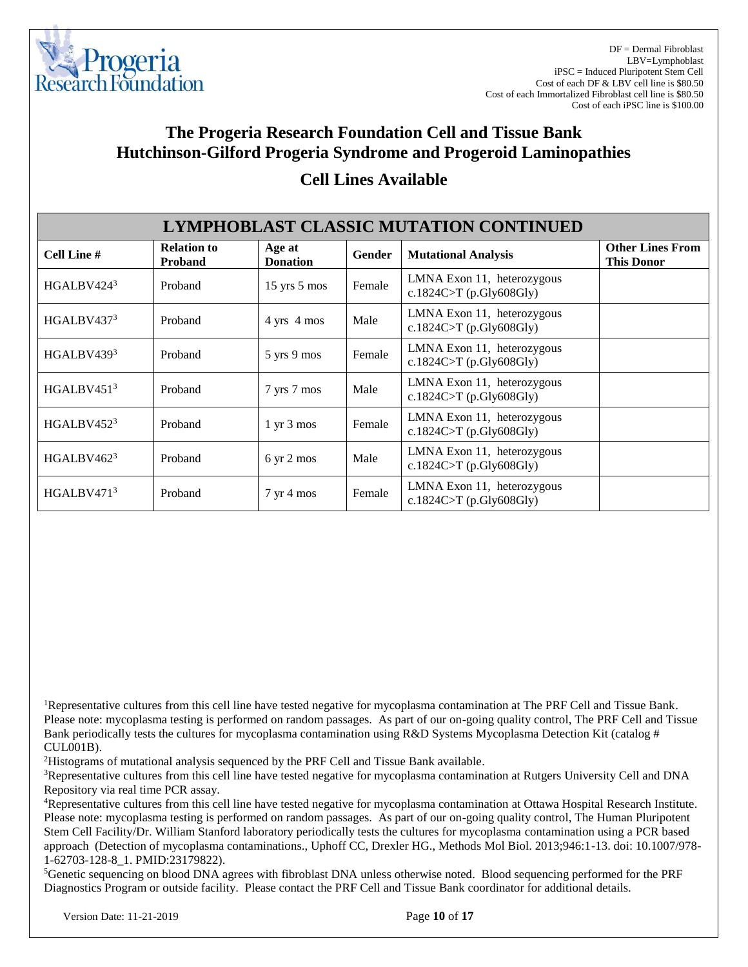

| <b>LYMPHOBLAST CLASSIC MUTATION CONTINUED</b> |                                      |                               |        |                                                       |                                              |  |  |
|-----------------------------------------------|--------------------------------------|-------------------------------|--------|-------------------------------------------------------|----------------------------------------------|--|--|
| Cell Line #                                   | <b>Relation to</b><br><b>Proband</b> | Age at<br><b>Donation</b>     | Gender | <b>Mutational Analysis</b>                            | <b>Other Lines From</b><br><b>This Donor</b> |  |  |
| HGALBV424 <sup>3</sup>                        | Proband                              | $15$ yrs $5$ mos              | Female | LMNA Exon 11, heterozygous<br>c.1824C>T (p.Gly608Gly) |                                              |  |  |
| HGALBV437 <sup>3</sup>                        | Proband                              | 4 yrs 4 mos                   | Male   | LMNA Exon 11, heterozygous<br>c.1824C>T (p.Gly608Gly) |                                              |  |  |
| HGALBV439 <sup>3</sup>                        | Proband                              | 5 yrs 9 mos                   | Female | LMNA Exon 11, heterozygous<br>c.1824C>T (p.Gly608Gly) |                                              |  |  |
| HGALBV45 $13$                                 | Proband                              | 7 yrs 7 mos                   | Male   | LMNA Exon 11, heterozygous<br>c.1824C>T (p.Gly608Gly) |                                              |  |  |
| HGALBV452 <sup>3</sup>                        | Proband                              | $1 \text{ yr } 3 \text{ mos}$ | Female | LMNA Exon 11, heterozygous<br>c.1824C>T (p.Gly608Gly) |                                              |  |  |
| HGALBV462 $3$                                 | Proband                              | $6 \text{ yr} 2 \text{ mos}$  | Male   | LMNA Exon 11, heterozygous<br>c.1824C>T (p.Gly608Gly) |                                              |  |  |
| HGALBV471 <sup>3</sup>                        | Proband                              | $7 \text{ yr} 4 \text{ mos}$  | Female | LMNA Exon 11, heterozygous<br>c.1824C>T (p.Gly608Gly) |                                              |  |  |

### **Cell Lines Available**

<sup>1</sup>Representative cultures from this cell line have tested negative for mycoplasma contamination at The PRF Cell and Tissue Bank. Please note: mycoplasma testing is performed on random passages. As part of our on-going quality control, The PRF Cell and Tissue Bank periodically tests the cultures for mycoplasma contamination using R&D Systems Mycoplasma Detection Kit (catalog # CUL001B).

<sup>2</sup>Histograms of mutational analysis sequenced by the PRF Cell and Tissue Bank available.

<sup>3</sup>Representative cultures from this cell line have tested negative for mycoplasma contamination at Rutgers University Cell and DNA Repository via real time PCR assay.

<sup>4</sup>Representative cultures from this cell line have tested negative for mycoplasma contamination at Ottawa Hospital Research Institute. Please note: mycoplasma testing is performed on random passages. As part of our on-going quality control, The Human Pluripotent Stem Cell Facility/Dr. William Stanford laboratory periodically tests the cultures for mycoplasma contamination using a PCR based approach (Detection of mycoplasma contaminations., Uphoff CC, Drexler HG., Methods Mol Biol. 2013;946:1-13. doi: 10.1007/978- 1-62703-128-8\_1. PMID:23179822).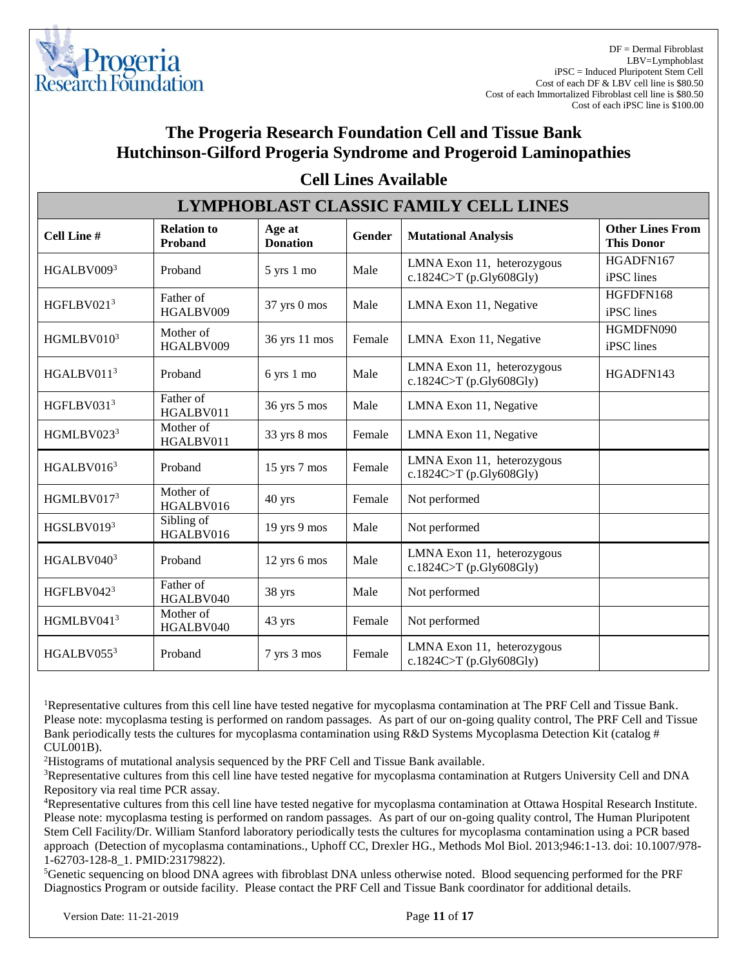

| <b>LYMPHOBLAST CLASSIC FAMILY CELL LINES</b> |                               |                           |               |                                                       |                                              |  |  |
|----------------------------------------------|-------------------------------|---------------------------|---------------|-------------------------------------------------------|----------------------------------------------|--|--|
| <b>Cell Line#</b>                            | <b>Relation to</b><br>Proband | Age at<br><b>Donation</b> | <b>Gender</b> | <b>Mutational Analysis</b>                            | <b>Other Lines From</b><br><b>This Donor</b> |  |  |
| HGALBV0093                                   | Proband                       | 5 yrs 1 mo                | Male          | LMNA Exon 11, heterozygous<br>c.1824C>T (p.Gly608Gly) | HGADFN167<br>iPSC lines                      |  |  |
| HGFLBV0213                                   | Father of<br>HGALBV009        | 37 yrs 0 mos              | Male          | LMNA Exon 11, Negative                                | HGFDFN168<br>iPSC lines                      |  |  |
| HGMLBV0103                                   | Mother of<br>HGALBV009        | 36 yrs 11 mos             | Female        | LMNA Exon 11, Negative                                | HGMDFN090<br>iPSC lines                      |  |  |
| HGALBV011 <sup>3</sup>                       | Proband                       | 6 yrs 1 mo                | Male          | LMNA Exon 11, heterozygous<br>c.1824C>T (p.Gly608Gly) | HGADFN143                                    |  |  |
| HGFLBV0313                                   | Father of<br>HGALBV011        | 36 yrs 5 mos              | Male          | LMNA Exon 11, Negative                                |                                              |  |  |
| HGMLBV0233                                   | Mother of<br>HGALBV011        | 33 yrs 8 mos              | Female        | LMNA Exon 11, Negative                                |                                              |  |  |
| HGALBV016 <sup>3</sup>                       | Proband                       | $15$ yrs $7$ mos          | Female        | LMNA Exon 11, heterozygous<br>c.1824C>T (p.Gly608Gly) |                                              |  |  |
| HGMLBV0173                                   | Mother of<br>HGALBV016        | 40 yrs                    | Female        | Not performed                                         |                                              |  |  |
| HGSLBV0193                                   | Sibling of<br>HGALBV016       | 19 yrs 9 mos              | Male          | Not performed                                         |                                              |  |  |
| HGALBV0403                                   | Proband                       | 12 yrs 6 mos              | Male          | LMNA Exon 11, heterozygous<br>c.1824C>T (p.Gly608Gly) |                                              |  |  |
| HGFLBV042 $3$                                | Father of<br>HGALBV040        | 38 yrs                    | Male          | Not performed                                         |                                              |  |  |
| HGMLBV0413                                   | Mother of<br>HGALBV040        | 43 yrs                    | Female        | Not performed                                         |                                              |  |  |
| HGALBV0553                                   | Proband                       | 7 yrs 3 mos               | Female        | LMNA Exon 11, heterozygous<br>c.1824C>T (p.Gly608Gly) |                                              |  |  |

#### **Cell Lines Available**

<sup>1</sup>Representative cultures from this cell line have tested negative for mycoplasma contamination at The PRF Cell and Tissue Bank. Please note: mycoplasma testing is performed on random passages. As part of our on-going quality control, The PRF Cell and Tissue Bank periodically tests the cultures for mycoplasma contamination using R&D Systems Mycoplasma Detection Kit (catalog # CUL001B).

<sup>2</sup>Histograms of mutational analysis sequenced by the PRF Cell and Tissue Bank available.

<sup>3</sup>Representative cultures from this cell line have tested negative for mycoplasma contamination at Rutgers University Cell and DNA Repository via real time PCR assay.

<sup>4</sup>Representative cultures from this cell line have tested negative for mycoplasma contamination at Ottawa Hospital Research Institute. Please note: mycoplasma testing is performed on random passages. As part of our on-going quality control, The Human Pluripotent Stem Cell Facility/Dr. William Stanford laboratory periodically tests the cultures for mycoplasma contamination using a PCR based approach (Detection of mycoplasma contaminations., Uphoff CC, Drexler HG., Methods Mol Biol. 2013;946:1-13. doi: 10.1007/978- 1-62703-128-8\_1. PMID:23179822).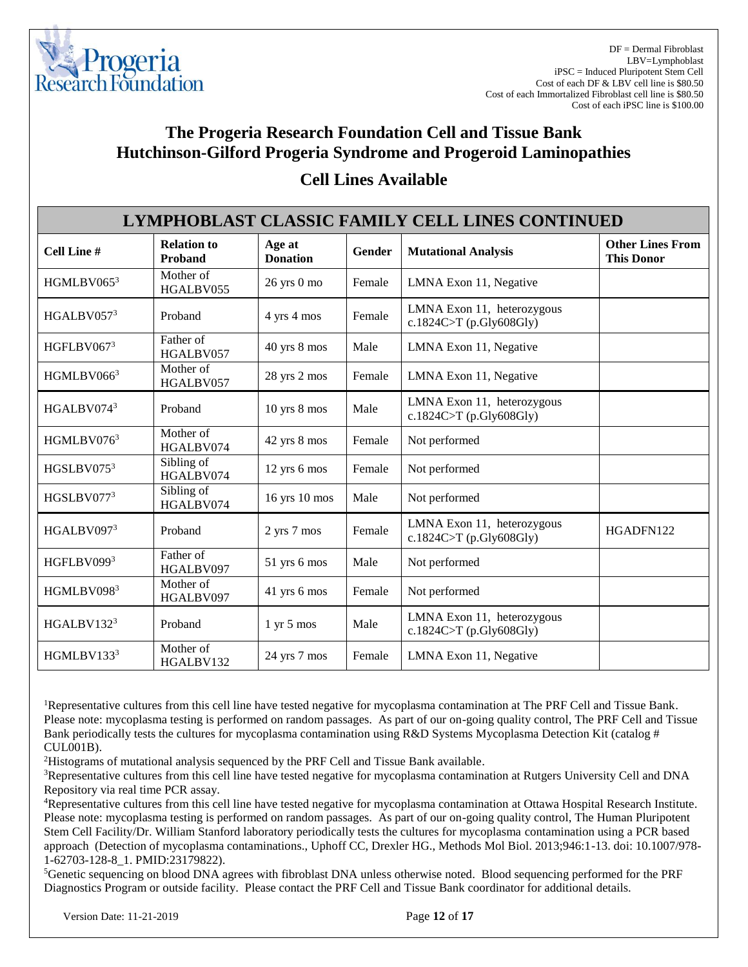

| LYMPHOBLAST CLASSIC FAMILY CELL LINES CONTINUED |                                      |                              |        |                                                       |                                              |  |
|-------------------------------------------------|--------------------------------------|------------------------------|--------|-------------------------------------------------------|----------------------------------------------|--|
| Cell Line #                                     | <b>Relation to</b><br><b>Proband</b> | Age at<br><b>Donation</b>    | Gender | <b>Mutational Analysis</b>                            | <b>Other Lines From</b><br><b>This Donor</b> |  |
| HGMLBV0653                                      | Mother of<br>HGALBV055               | 26 yrs 0 mo                  | Female | LMNA Exon 11, Negative                                |                                              |  |
| HGALBV0573                                      | Proband                              | 4 yrs 4 mos                  | Female | LMNA Exon 11, heterozygous<br>c.1824C>T (p.Gly608Gly) |                                              |  |
| HGFLBV0673                                      | Father of<br>HGALBV057               | 40 yrs 8 mos                 | Male   | LMNA Exon 11, Negative                                |                                              |  |
| HGMLBV0663                                      | Mother of<br>HGALBV057               | 28 yrs 2 mos                 | Female | LMNA Exon 11, Negative                                |                                              |  |
| HGALBV0743                                      | Proband                              | $10$ yrs $8$ mos             | Male   | LMNA Exon 11, heterozygous<br>c.1824C>T (p.Gly608Gly) |                                              |  |
| HGMLBV0763                                      | Mother of<br>HGALBV074               | 42 yrs 8 mos                 | Female | Not performed                                         |                                              |  |
| HGSLBV075 <sup>3</sup>                          | Sibling of<br>HGALBV074              | 12 yrs 6 mos                 | Female | Not performed                                         |                                              |  |
| HGSLBV0773                                      | Sibling of<br>HGALBV074              | 16 yrs 10 mos                | Male   | Not performed                                         |                                              |  |
| HGALBV0973                                      | Proband                              | 2 yrs 7 mos                  | Female | LMNA Exon 11, heterozygous<br>c.1824C>T (p.Gly608Gly) | HGADFN122                                    |  |
| HGFLBV0993                                      | Father of<br>HGALBV097               | 51 yrs 6 mos                 | Male   | Not performed                                         |                                              |  |
| HGMLBV0983                                      | Mother of<br>HGALBV097               | 41 yrs 6 mos                 | Female | Not performed                                         |                                              |  |
| HGALBV132 <sup>3</sup>                          | Proband                              | $1 \text{ yr} 5 \text{ mos}$ | Male   | LMNA Exon 11, heterozygous<br>c.1824C>T (p.Gly608Gly) |                                              |  |
| HGMLBV1333                                      | Mother of<br>HGALBV132               | 24 yrs 7 mos                 | Female | LMNA Exon 11, Negative                                |                                              |  |

### **Cell Lines Available**

<sup>1</sup>Representative cultures from this cell line have tested negative for mycoplasma contamination at The PRF Cell and Tissue Bank. Please note: mycoplasma testing is performed on random passages. As part of our on-going quality control, The PRF Cell and Tissue Bank periodically tests the cultures for mycoplasma contamination using R&D Systems Mycoplasma Detection Kit (catalog # CUL001B).

<sup>2</sup>Histograms of mutational analysis sequenced by the PRF Cell and Tissue Bank available.

<sup>3</sup>Representative cultures from this cell line have tested negative for mycoplasma contamination at Rutgers University Cell and DNA Repository via real time PCR assay.

<sup>4</sup>Representative cultures from this cell line have tested negative for mycoplasma contamination at Ottawa Hospital Research Institute. Please note: mycoplasma testing is performed on random passages. As part of our on-going quality control, The Human Pluripotent Stem Cell Facility/Dr. William Stanford laboratory periodically tests the cultures for mycoplasma contamination using a PCR based approach (Detection of mycoplasma contaminations., Uphoff CC, Drexler HG., Methods Mol Biol. 2013;946:1-13. doi: 10.1007/978- 1-62703-128-8\_1. PMID:23179822).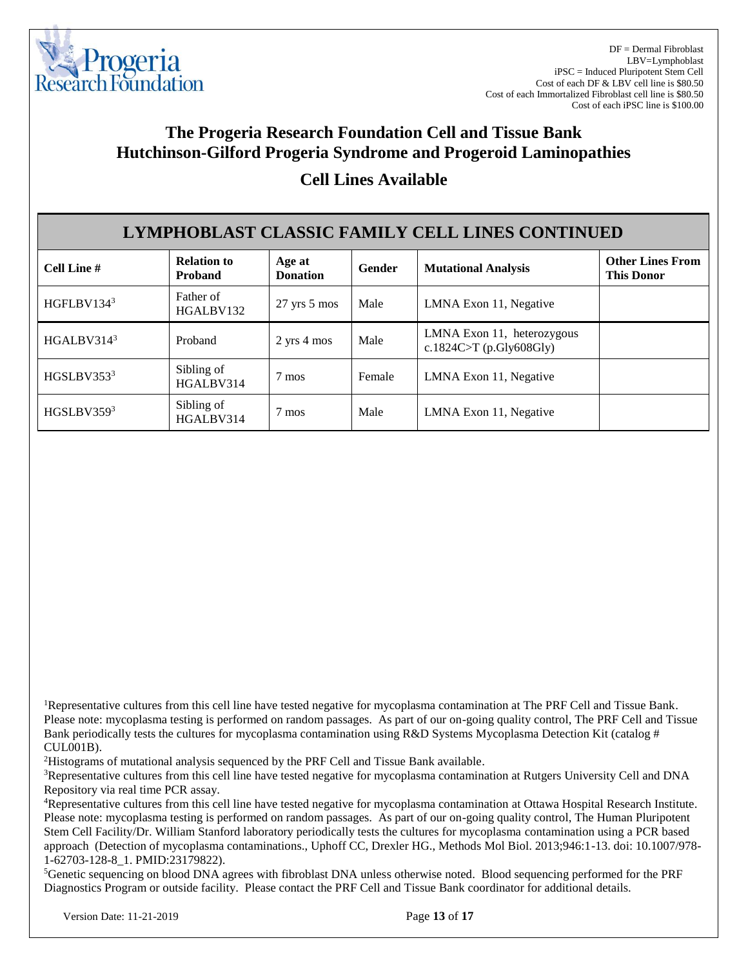

| LYMPHOBLAST CLASSIC FAMILY CELL LINES CONTINUED |                                      |                                |        |                                                       |                                              |  |
|-------------------------------------------------|--------------------------------------|--------------------------------|--------|-------------------------------------------------------|----------------------------------------------|--|
| Cell Line #                                     | <b>Relation to</b><br><b>Proband</b> | Age at<br><b>Donation</b>      | Gender | <b>Mutational Analysis</b>                            | <b>Other Lines From</b><br><b>This Donor</b> |  |
| HGFLBV1343                                      | Father of<br>HGALBV132               | $27 \text{ yrs} 5 \text{ mos}$ | Male   | LMNA Exon 11, Negative                                |                                              |  |
| HGALBV314 $3$                                   | Proband                              | $2$ yrs $4$ mos                | Male   | LMNA Exon 11, heterozygous<br>c.1824C>T (p.Gly608Gly) |                                              |  |
| HGSLBV3533                                      | Sibling of<br>HGALBV314              | 7 mos                          | Female | LMNA Exon 11, Negative                                |                                              |  |
| HGSLBV3593                                      | Sibling of<br>HGALBV314              | 7 mos                          | Male   | LMNA Exon 11, Negative                                |                                              |  |

<sup>1</sup>Representative cultures from this cell line have tested negative for mycoplasma contamination at The PRF Cell and Tissue Bank. Please note: mycoplasma testing is performed on random passages. As part of our on-going quality control, The PRF Cell and Tissue Bank periodically tests the cultures for mycoplasma contamination using R&D Systems Mycoplasma Detection Kit (catalog # CUL001B).

<sup>2</sup>Histograms of mutational analysis sequenced by the PRF Cell and Tissue Bank available.

<sup>3</sup>Representative cultures from this cell line have tested negative for mycoplasma contamination at Rutgers University Cell and DNA Repository via real time PCR assay.

<sup>4</sup>Representative cultures from this cell line have tested negative for mycoplasma contamination at Ottawa Hospital Research Institute. Please note: mycoplasma testing is performed on random passages. As part of our on-going quality control, The Human Pluripotent Stem Cell Facility/Dr. William Stanford laboratory periodically tests the cultures for mycoplasma contamination using a PCR based approach (Detection of mycoplasma contaminations., Uphoff CC, Drexler HG., Methods Mol Biol. 2013;946:1-13. doi: 10.1007/978- 1-62703-128-8\_1. PMID:23179822).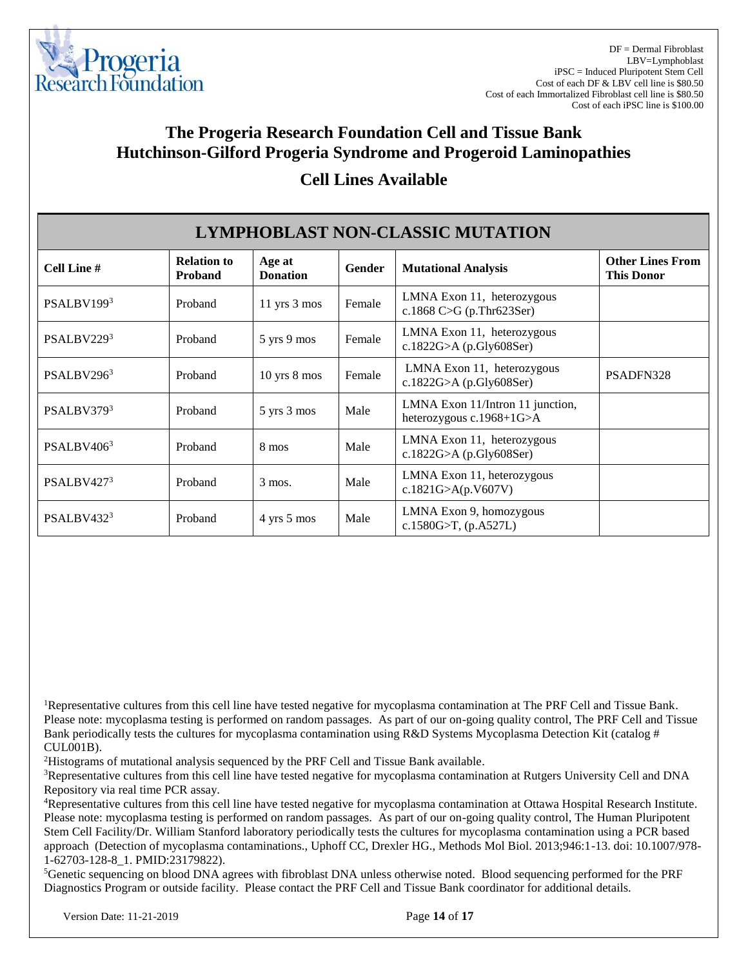

| <b>LYMPHOBLAST NON-CLASSIC MUTATION</b> |                                      |                                |        |                                                                  |                                              |  |
|-----------------------------------------|--------------------------------------|--------------------------------|--------|------------------------------------------------------------------|----------------------------------------------|--|
| <b>Cell Line #</b>                      | <b>Relation to</b><br><b>Proband</b> | Age at<br><b>Donation</b>      | Gender | <b>Mutational Analysis</b>                                       | <b>Other Lines From</b><br><b>This Donor</b> |  |
| PSALBV1993                              | Proband                              | 11 yrs 3 mos                   | Female | LMNA Exon 11, heterozygous<br>c.1868 C>G (p.Thr623Ser)           |                                              |  |
| PSALBV2293                              | Proband                              | 5 yrs 9 mos                    | Female | LMNA Exon 11, heterozygous<br>c.1822G>A (p.Gly608Ser)            |                                              |  |
| PSALBV2963                              | Proband                              | $10$ yrs $8$ mos               | Female | LMNA Exon 11, heterozygous<br>c.1822G>A (p.Gly608Ser)            | PSADFN328                                    |  |
| PSALBV3793                              | Proband                              | 5 yrs 3 mos                    | Male   | LMNA Exon 11/Intron 11 junction,<br>heterozygous $c.1968+1G > A$ |                                              |  |
| PSALBV406 <sup>3</sup>                  | Proband                              | 8 mos                          | Male   | LMNA Exon 11, heterozygous<br>c.1822G>A (p.Gly608Ser)            |                                              |  |
| PSALBV427 <sup>3</sup>                  | Proband                              | $3 \text{ mos.}$               | Male   | LMNA Exon 11, heterozygous<br>c.1821G>A(p.V607V)                 |                                              |  |
| PSALBV4323                              | Proband                              | $4 \text{ yrs } 5 \text{ mos}$ | Male   | LMNA Exon 9, homozygous<br>c.1580G>T, $(p.A527L)$                |                                              |  |

### **Cell Lines Available**

<sup>1</sup>Representative cultures from this cell line have tested negative for mycoplasma contamination at The PRF Cell and Tissue Bank. Please note: mycoplasma testing is performed on random passages. As part of our on-going quality control, The PRF Cell and Tissue Bank periodically tests the cultures for mycoplasma contamination using R&D Systems Mycoplasma Detection Kit (catalog # CUL001B).

<sup>2</sup>Histograms of mutational analysis sequenced by the PRF Cell and Tissue Bank available.

<sup>3</sup>Representative cultures from this cell line have tested negative for mycoplasma contamination at Rutgers University Cell and DNA Repository via real time PCR assay.

<sup>4</sup>Representative cultures from this cell line have tested negative for mycoplasma contamination at Ottawa Hospital Research Institute. Please note: mycoplasma testing is performed on random passages. As part of our on-going quality control, The Human Pluripotent Stem Cell Facility/Dr. William Stanford laboratory periodically tests the cultures for mycoplasma contamination using a PCR based approach (Detection of mycoplasma contaminations., Uphoff CC, Drexler HG., Methods Mol Biol. 2013;946:1-13. doi: 10.1007/978- 1-62703-128-8\_1. PMID:23179822).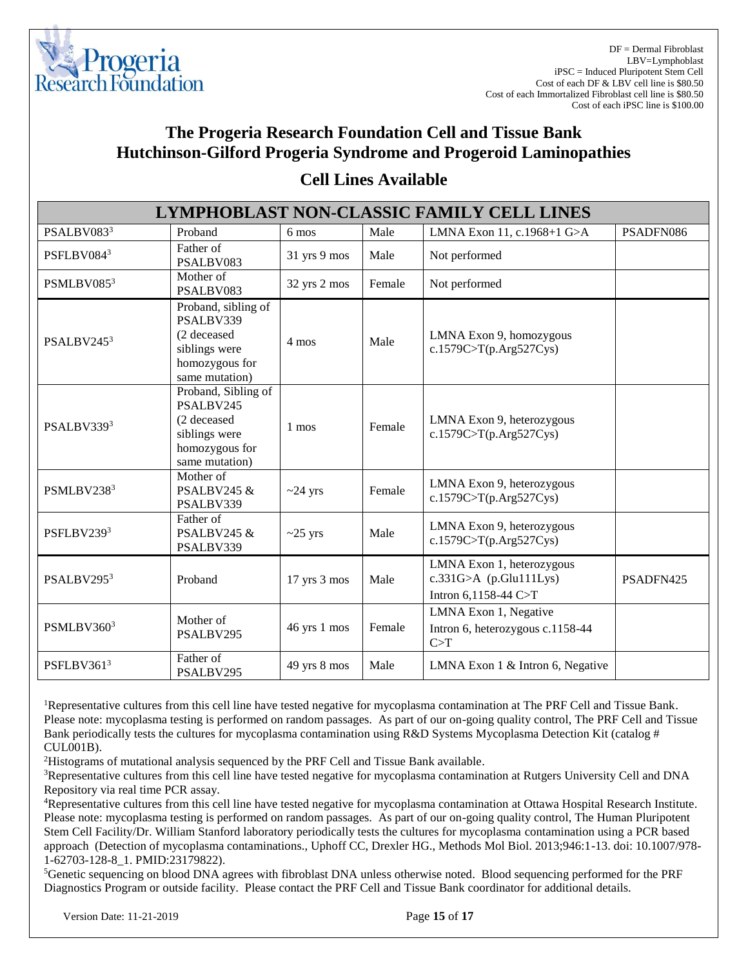

| LYMPHOBLAST NON-CLASSIC FAMILY CELL LINES |                                                                                                      |                  |        |                                                                               |           |  |  |
|-------------------------------------------|------------------------------------------------------------------------------------------------------|------------------|--------|-------------------------------------------------------------------------------|-----------|--|--|
| PSALBV0833                                | Proband                                                                                              | $6 \text{ mos}$  | Male   | LMNA Exon 11, c.1968+1 G>A                                                    | PSADFN086 |  |  |
| PSFLBV0843                                | Father of<br>PSALBV083                                                                               | 31 yrs 9 mos     | Male   | Not performed                                                                 |           |  |  |
| PSMLBV0853                                | Mother of<br>PSALBV083                                                                               | 32 yrs 2 mos     | Female | Not performed                                                                 |           |  |  |
| PSALBV2453                                | Proband, sibling of<br>PSALBV339<br>(2 deceased<br>siblings were<br>homozygous for<br>same mutation) | 4 mos            | Male   | LMNA Exon 9, homozygous<br>c.1579C>T(p.Arg527Cys)                             |           |  |  |
| PSALBV3393                                | Proband, Sibling of<br>PSALBV245<br>(2 deceased<br>siblings were<br>homozygous for<br>same mutation) | 1 mos            | Female | LMNA Exon 9, heterozygous<br>c.1579C > T(p.Arg527Cys)                         |           |  |  |
| PSMLBV2383                                | Mother of<br>PSALBV245 &<br>PSALBV339                                                                | $\sim$ 24 yrs    | Female | LMNA Exon 9, heterozygous<br>c.1579C>T(p.Arg527Cys)                           |           |  |  |
| PSFLBV2393                                | Father of<br>PSALBV245 &<br>PSALBV339                                                                | $\sim$ 25 yrs    | Male   | LMNA Exon 9, heterozygous<br>c.1579C > T(p.Arg527Cys)                         |           |  |  |
| PSALBV2953                                | Proband                                                                                              | $17$ yrs $3$ mos | Male   | LMNA Exon 1, heterozygous<br>$c.331G>A$ (p.Glu111Lys)<br>Intron 6,1158-44 C>T | PSADFN425 |  |  |
| PSMLBV3603                                | Mother of<br>PSALBV295                                                                               | 46 yrs 1 mos     | Female | LMNA Exon 1, Negative<br>Intron 6, heterozygous c.1158-44<br>C>T              |           |  |  |
| PSFLBV3613                                | Father of<br>PSALBV295                                                                               | 49 yrs 8 mos     | Male   | LMNA Exon 1 & Intron 6, Negative                                              |           |  |  |

#### **Cell Lines Available**

<sup>1</sup>Representative cultures from this cell line have tested negative for mycoplasma contamination at The PRF Cell and Tissue Bank. Please note: mycoplasma testing is performed on random passages. As part of our on-going quality control, The PRF Cell and Tissue Bank periodically tests the cultures for mycoplasma contamination using R&D Systems Mycoplasma Detection Kit (catalog # CUL001B).

<sup>2</sup>Histograms of mutational analysis sequenced by the PRF Cell and Tissue Bank available.

<sup>3</sup>Representative cultures from this cell line have tested negative for mycoplasma contamination at Rutgers University Cell and DNA Repository via real time PCR assay.

<sup>4</sup>Representative cultures from this cell line have tested negative for mycoplasma contamination at Ottawa Hospital Research Institute. Please note: mycoplasma testing is performed on random passages. As part of our on-going quality control, The Human Pluripotent Stem Cell Facility/Dr. William Stanford laboratory periodically tests the cultures for mycoplasma contamination using a PCR based approach (Detection of mycoplasma contaminations., Uphoff CC, Drexler HG., Methods Mol Biol. 2013;946:1-13. doi: 10.1007/978- 1-62703-128-8\_1. PMID:23179822).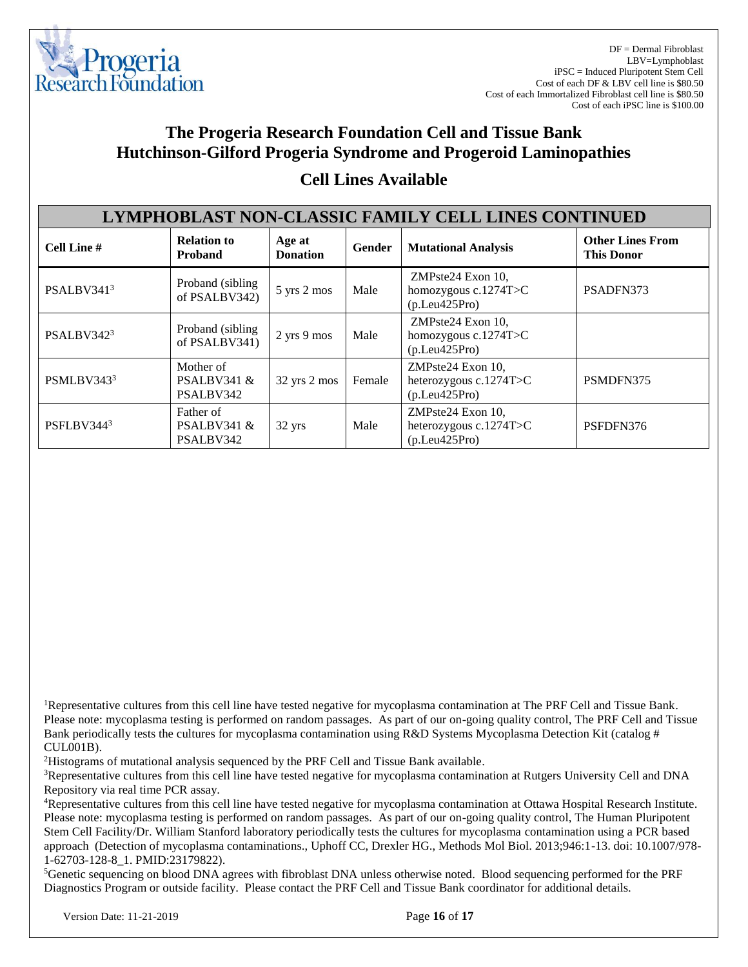

| <b>LYMPHOBLAST NON-CLASSIC FAMILY CELL LINES CONTINUED</b> |                                          |                           |        |                                                                   |                                              |  |
|------------------------------------------------------------|------------------------------------------|---------------------------|--------|-------------------------------------------------------------------|----------------------------------------------|--|
| Cell Line #                                                | <b>Relation to</b><br><b>Proband</b>     | Age at<br><b>Donation</b> | Gender | <b>Mutational Analysis</b>                                        | <b>Other Lines From</b><br><b>This Donor</b> |  |
| PSALBV3413                                                 | Proband (sibling)<br>of PSALBV342)       | 5 yrs 2 mos               | Male   | ZMPste24 Exon 10,<br>homozygous $c.1274T > C$<br>(p. Leu425Pro)   | PSADFN373                                    |  |
| PSALBV3423                                                 | Proband (sibling)<br>of PSALBV341)       | 2 yrs 9 mos               | Male   | ZMPste24 Exon 10,<br>homozygous c.1274T>C<br>(p. Leu425Pro)       |                                              |  |
| PSMLBV3433                                                 | Mother of<br>PSALBV341 $\&$<br>PSALBV342 | 32 yrs 2 mos              | Female | ZMPste24 Exon 10,<br>heterozygous $c.1274T > C$<br>(p. Leu425Pro) | PSMDFN375                                    |  |
| PSFLBV3443                                                 | Father of<br>PSALBV341 $\&$<br>PSALBV342 | 32 yrs                    | Male   | ZMPste24 Exon 10,<br>heterozygous c.1274T>C<br>(p. Leu425Pro)     | PSFDFN376                                    |  |

### **Cell Lines Available**

<sup>1</sup>Representative cultures from this cell line have tested negative for mycoplasma contamination at The PRF Cell and Tissue Bank. Please note: mycoplasma testing is performed on random passages. As part of our on-going quality control, The PRF Cell and Tissue Bank periodically tests the cultures for mycoplasma contamination using R&D Systems Mycoplasma Detection Kit (catalog # CUL001B).

<sup>2</sup>Histograms of mutational analysis sequenced by the PRF Cell and Tissue Bank available.

<sup>3</sup>Representative cultures from this cell line have tested negative for mycoplasma contamination at Rutgers University Cell and DNA Repository via real time PCR assay.

<sup>4</sup>Representative cultures from this cell line have tested negative for mycoplasma contamination at Ottawa Hospital Research Institute. Please note: mycoplasma testing is performed on random passages. As part of our on-going quality control, The Human Pluripotent Stem Cell Facility/Dr. William Stanford laboratory periodically tests the cultures for mycoplasma contamination using a PCR based approach (Detection of mycoplasma contaminations., Uphoff CC, Drexler HG., Methods Mol Biol. 2013;946:1-13. doi: 10.1007/978- 1-62703-128-8\_1. PMID:23179822).